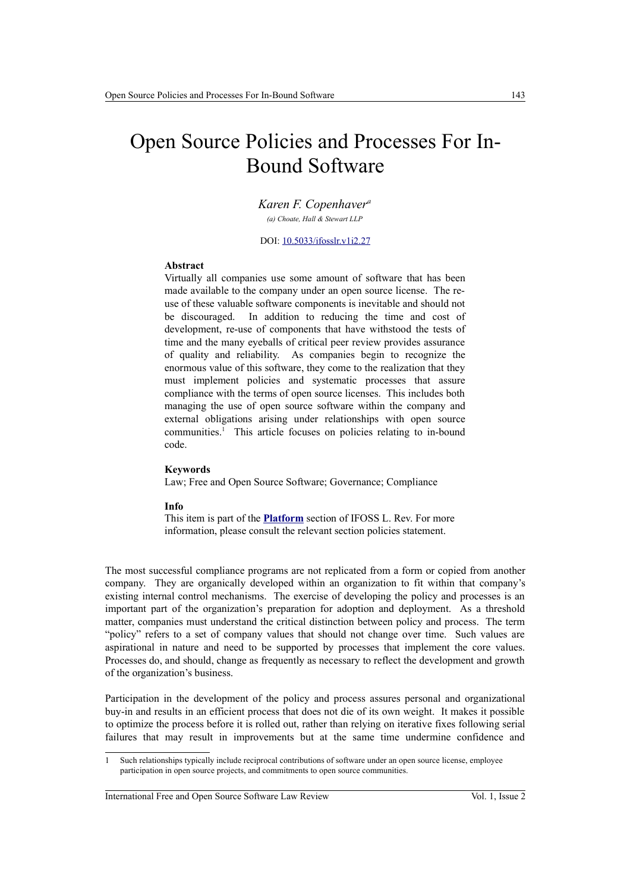# Open Source Policies and Processes For In-Bound Software

*Karen F. Copenhaver<sup>a</sup> (a) Choate, Hall & Stewart LLP*

DOI: [10.5033/ifosslr.v1i2.27](http://dx.doi.org/10.5033/ifosslr.v1i2.27)

#### **Abstract**

Virtually all companies use some amount of software that has been made available to the company under an open source license. The reuse of these valuable software components is inevitable and should not be discouraged. In addition to reducing the time and cost of development, re-use of components that have withstood the tests of time and the many eyeballs of critical peer review provides assurance of quality and reliability. As companies begin to recognize the enormous value of this software, they come to the realization that they must implement policies and systematic processes that assure compliance with the terms of open source licenses. This includes both managing the use of open source software within the company and external obligations arising under relationships with open source communities.<sup>[1](#page-0-0)</sup> This article focuses on policies relating to in-bound code.

#### **Keywords**

Law; Free and Open Source Software; Governance; Compliance

#### **Info**

This item is part of the **[Platform](http://www.ifosslr.org/ifosslr/about/editorialPolicies#sectionPolicies)** section of IFOSS L. Rev. For more information, please consult the relevant section policies statement.

The most successful compliance programs are not replicated from a form or copied from another company. They are organically developed within an organization to fit within that company's existing internal control mechanisms. The exercise of developing the policy and processes is an important part of the organization's preparation for adoption and deployment. As a threshold matter, companies must understand the critical distinction between policy and process. The term "policy" refers to a set of company values that should not change over time. Such values are aspirational in nature and need to be supported by processes that implement the core values. Processes do, and should, change as frequently as necessary to reflect the development and growth of the organization's business.

Participation in the development of the policy and process assures personal and organizational buy-in and results in an efficient process that does not die of its own weight. It makes it possible to optimize the process before it is rolled out, rather than relying on iterative fixes following serial failures that may result in improvements but at the same time undermine confidence and

International Free and Open Source Software Law Review Vol. 1, Issue 2

<span id="page-0-0"></span><sup>1</sup> Such relationships typically include reciprocal contributions of software under an open source license, employee participation in open source projects, and commitments to open source communities.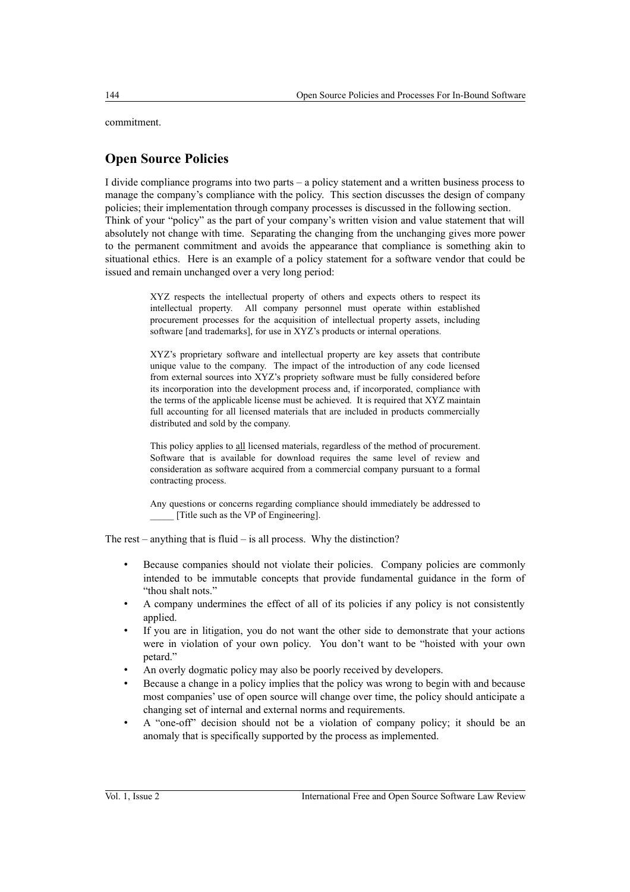commitment.

# **Open Source Policies**

I divide compliance programs into two parts – a policy statement and a written business process to manage the company's compliance with the policy. This section discusses the design of company policies; their implementation through company processes is discussed in the following section. Think of your "policy" as the part of your company's written vision and value statement that will absolutely not change with time. Separating the changing from the unchanging gives more power to the permanent commitment and avoids the appearance that compliance is something akin to situational ethics. Here is an example of a policy statement for a software vendor that could be issued and remain unchanged over a very long period:

> XYZ respects the intellectual property of others and expects others to respect its intellectual property. All company personnel must operate within established procurement processes for the acquisition of intellectual property assets, including software [and trademarks], for use in XYZ's products or internal operations.

> XYZ's proprietary software and intellectual property are key assets that contribute unique value to the company. The impact of the introduction of any code licensed from external sources into XYZ's propriety software must be fully considered before its incorporation into the development process and, if incorporated, compliance with the terms of the applicable license must be achieved. It is required that XYZ maintain full accounting for all licensed materials that are included in products commercially distributed and sold by the company.

> This policy applies to all licensed materials, regardless of the method of procurement. Software that is available for download requires the same level of review and consideration as software acquired from a commercial company pursuant to a formal contracting process.

> Any questions or concerns regarding compliance should immediately be addressed to [Title such as the VP of Engineering].

The rest – anything that is fluid – is all process. Why the distinction?

- Because companies should not violate their policies. Company policies are commonly intended to be immutable concepts that provide fundamental guidance in the form of "thou shalt nots."
- A company undermines the effect of all of its policies if any policy is not consistently applied.
- If you are in litigation, you do not want the other side to demonstrate that your actions were in violation of your own policy. You don't want to be "hoisted with your own petard."
- An overly dogmatic policy may also be poorly received by developers.
- Because a change in a policy implies that the policy was wrong to begin with and because most companies' use of open source will change over time, the policy should anticipate a changing set of internal and external norms and requirements.
- A "one-off" decision should not be a violation of company policy; it should be an anomaly that is specifically supported by the process as implemented.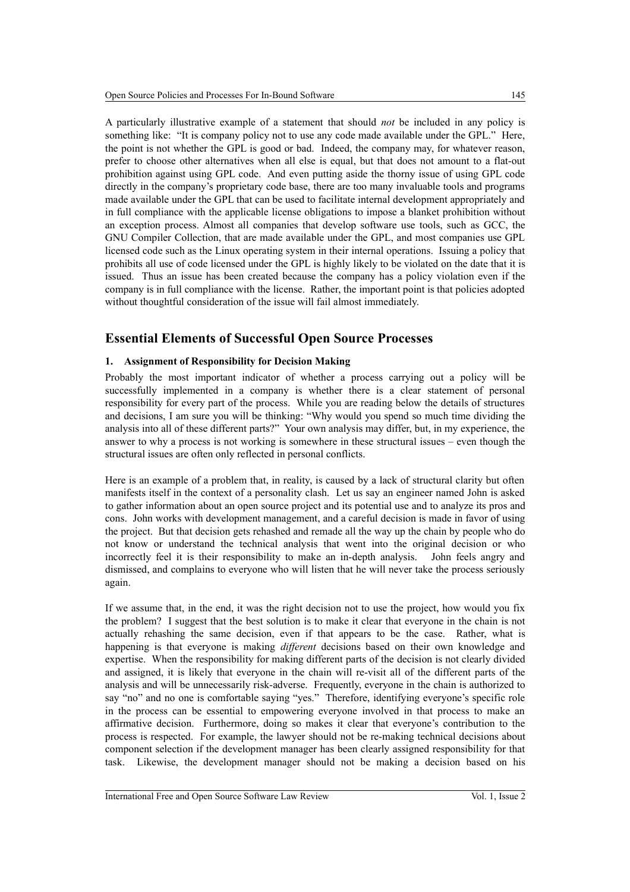A particularly illustrative example of a statement that should *not* be included in any policy is something like: "It is company policy not to use any code made available under the GPL." Here, the point is not whether the GPL is good or bad. Indeed, the company may, for whatever reason, prefer to choose other alternatives when all else is equal, but that does not amount to a flat-out prohibition against using GPL code. And even putting aside the thorny issue of using GPL code directly in the company's proprietary code base, there are too many invaluable tools and programs made available under the GPL that can be used to facilitate internal development appropriately and in full compliance with the applicable license obligations to impose a blanket prohibition without an exception process. Almost all companies that develop software use tools, such as GCC, the GNU Compiler Collection, that are made available under the GPL, and most companies use GPL licensed code such as the Linux operating system in their internal operations. Issuing a policy that prohibits all use of code licensed under the GPL is highly likely to be violated on the date that it is issued. Thus an issue has been created because the company has a policy violation even if the company is in full compliance with the license. Rather, the important point is that policies adopted without thoughtful consideration of the issue will fail almost immediately.

# **Essential Elements of Successful Open Source Processes**

## **1. Assignment of Responsibility for Decision Making**

Probably the most important indicator of whether a process carrying out a policy will be successfully implemented in a company is whether there is a clear statement of personal responsibility for every part of the process. While you are reading below the details of structures and decisions, I am sure you will be thinking: "Why would you spend so much time dividing the analysis into all of these different parts?" Your own analysis may differ, but, in my experience, the answer to why a process is not working is somewhere in these structural issues – even though the structural issues are often only reflected in personal conflicts.

Here is an example of a problem that, in reality, is caused by a lack of structural clarity but often manifests itself in the context of a personality clash. Let us say an engineer named John is asked to gather information about an open source project and its potential use and to analyze its pros and cons. John works with development management, and a careful decision is made in favor of using the project. But that decision gets rehashed and remade all the way up the chain by people who do not know or understand the technical analysis that went into the original decision or who incorrectly feel it is their responsibility to make an in-depth analysis. John feels angry and dismissed, and complains to everyone who will listen that he will never take the process seriously again.

If we assume that, in the end, it was the right decision not to use the project, how would you fix the problem? I suggest that the best solution is to make it clear that everyone in the chain is not actually rehashing the same decision, even if that appears to be the case. Rather, what is happening is that everyone is making *different* decisions based on their own knowledge and expertise. When the responsibility for making different parts of the decision is not clearly divided and assigned, it is likely that everyone in the chain will re-visit all of the different parts of the analysis and will be unnecessarily risk-adverse. Frequently, everyone in the chain is authorized to say "no" and no one is comfortable saying "yes." Therefore, identifying everyone's specific role in the process can be essential to empowering everyone involved in that process to make an affirmative decision. Furthermore, doing so makes it clear that everyone's contribution to the process is respected. For example, the lawyer should not be re-making technical decisions about component selection if the development manager has been clearly assigned responsibility for that task. Likewise, the development manager should not be making a decision based on his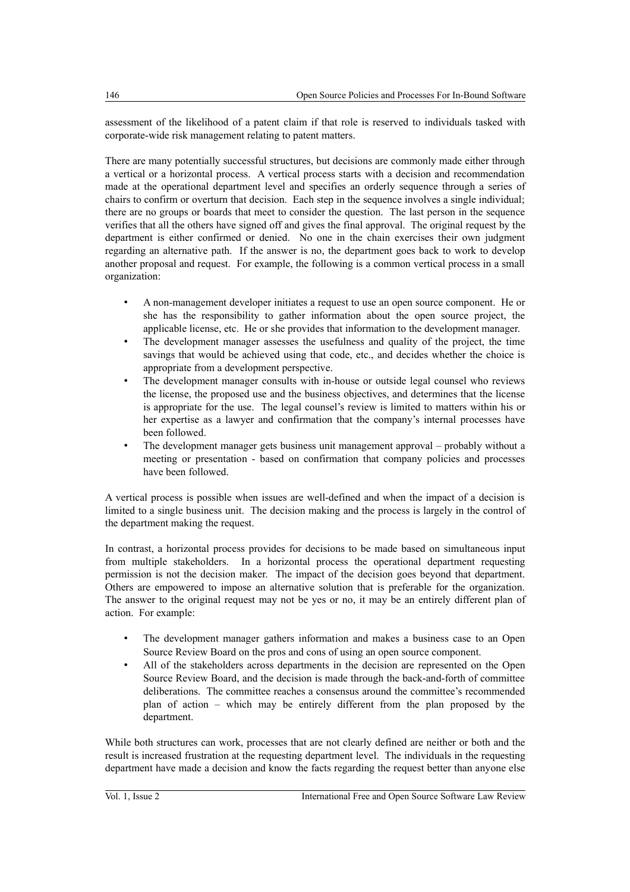assessment of the likelihood of a patent claim if that role is reserved to individuals tasked with corporate-wide risk management relating to patent matters.

There are many potentially successful structures, but decisions are commonly made either through a vertical or a horizontal process. A vertical process starts with a decision and recommendation made at the operational department level and specifies an orderly sequence through a series of chairs to confirm or overturn that decision. Each step in the sequence involves a single individual; there are no groups or boards that meet to consider the question. The last person in the sequence verifies that all the others have signed off and gives the final approval. The original request by the department is either confirmed or denied. No one in the chain exercises their own judgment regarding an alternative path. If the answer is no, the department goes back to work to develop another proposal and request. For example, the following is a common vertical process in a small organization:

- A non-management developer initiates a request to use an open source component. He or she has the responsibility to gather information about the open source project, the applicable license, etc. He or she provides that information to the development manager.
- The development manager assesses the usefulness and quality of the project, the time savings that would be achieved using that code, etc., and decides whether the choice is appropriate from a development perspective.
- The development manager consults with in-house or outside legal counsel who reviews the license, the proposed use and the business objectives, and determines that the license is appropriate for the use. The legal counsel's review is limited to matters within his or her expertise as a lawyer and confirmation that the company's internal processes have been followed.
- The development manager gets business unit management approval probably without a meeting or presentation - based on confirmation that company policies and processes have been followed.

A vertical process is possible when issues are well-defined and when the impact of a decision is limited to a single business unit. The decision making and the process is largely in the control of the department making the request.

In contrast, a horizontal process provides for decisions to be made based on simultaneous input from multiple stakeholders. In a horizontal process the operational department requesting permission is not the decision maker. The impact of the decision goes beyond that department. Others are empowered to impose an alternative solution that is preferable for the organization. The answer to the original request may not be yes or no, it may be an entirely different plan of action. For example:

- The development manager gathers information and makes a business case to an Open Source Review Board on the pros and cons of using an open source component.
- All of the stakeholders across departments in the decision are represented on the Open Source Review Board, and the decision is made through the back-and-forth of committee deliberations. The committee reaches a consensus around the committee's recommended plan of action – which may be entirely different from the plan proposed by the department.

While both structures can work, processes that are not clearly defined are neither or both and the result is increased frustration at the requesting department level. The individuals in the requesting department have made a decision and know the facts regarding the request better than anyone else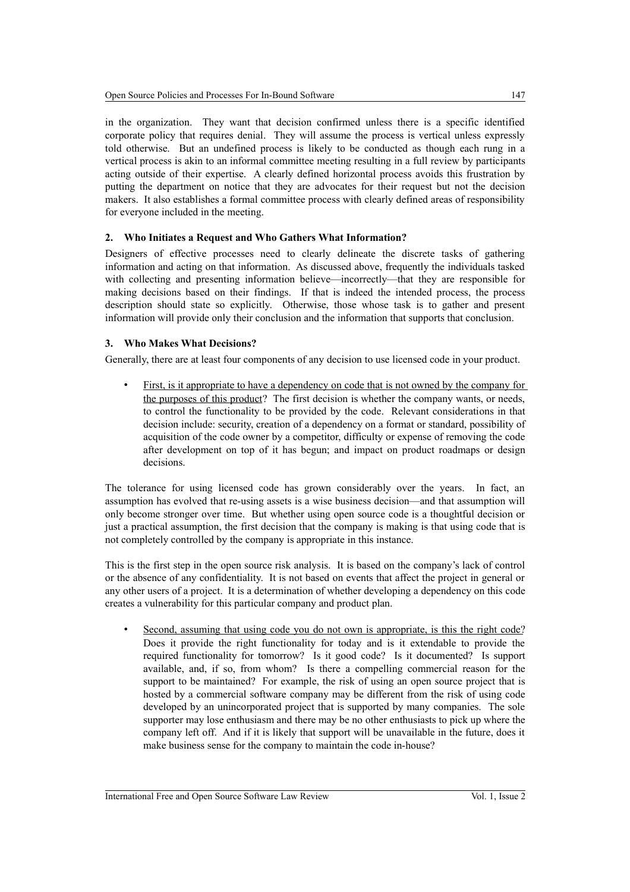in the organization. They want that decision confirmed unless there is a specific identified corporate policy that requires denial. They will assume the process is vertical unless expressly told otherwise. But an undefined process is likely to be conducted as though each rung in a vertical process is akin to an informal committee meeting resulting in a full review by participants acting outside of their expertise. A clearly defined horizontal process avoids this frustration by putting the department on notice that they are advocates for their request but not the decision makers. It also establishes a formal committee process with clearly defined areas of responsibility for everyone included in the meeting.

## **2. Who Initiates a Request and Who Gathers What Information?**

Designers of effective processes need to clearly delineate the discrete tasks of gathering information and acting on that information. As discussed above, frequently the individuals tasked with collecting and presenting information believe—incorrectly—that they are responsible for making decisions based on their findings. If that is indeed the intended process, the process description should state so explicitly. Otherwise, those whose task is to gather and present information will provide only their conclusion and the information that supports that conclusion.

## **3. Who Makes What Decisions?**

Generally, there are at least four components of any decision to use licensed code in your product.

First, is it appropriate to have a dependency on code that is not owned by the company for the purposes of this product? The first decision is whether the company wants, or needs, to control the functionality to be provided by the code. Relevant considerations in that decision include: security, creation of a dependency on a format or standard, possibility of acquisition of the code owner by a competitor, difficulty or expense of removing the code after development on top of it has begun; and impact on product roadmaps or design decisions.

The tolerance for using licensed code has grown considerably over the years. In fact, an assumption has evolved that re-using assets is a wise business decision—and that assumption will only become stronger over time. But whether using open source code is a thoughtful decision or just a practical assumption, the first decision that the company is making is that using code that is not completely controlled by the company is appropriate in this instance.

This is the first step in the open source risk analysis. It is based on the company's lack of control or the absence of any confidentiality. It is not based on events that affect the project in general or any other users of a project. It is a determination of whether developing a dependency on this code creates a vulnerability for this particular company and product plan.

• Second, assuming that using code you do not own is appropriate, is this the right code? Does it provide the right functionality for today and is it extendable to provide the required functionality for tomorrow? Is it good code? Is it documented? Is support available, and, if so, from whom? Is there a compelling commercial reason for the support to be maintained? For example, the risk of using an open source project that is hosted by a commercial software company may be different from the risk of using code developed by an unincorporated project that is supported by many companies. The sole supporter may lose enthusiasm and there may be no other enthusiasts to pick up where the company left off. And if it is likely that support will be unavailable in the future, does it make business sense for the company to maintain the code in-house?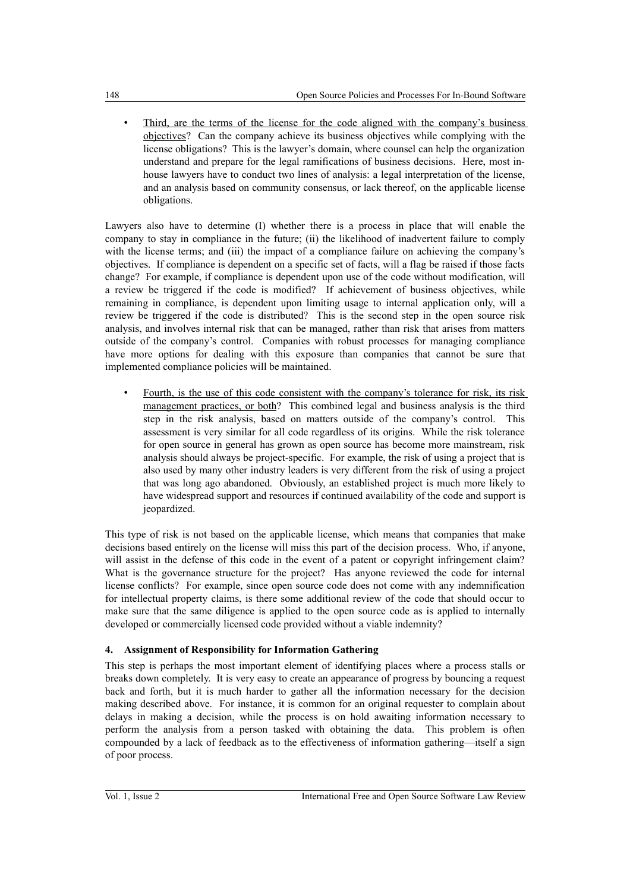Third, are the terms of the license for the code aligned with the company's business objectives? Can the company achieve its business objectives while complying with the license obligations? This is the lawyer's domain, where counsel can help the organization understand and prepare for the legal ramifications of business decisions. Here, most inhouse lawyers have to conduct two lines of analysis: a legal interpretation of the license, and an analysis based on community consensus, or lack thereof, on the applicable license obligations.

Lawyers also have to determine (I) whether there is a process in place that will enable the company to stay in compliance in the future; (ii) the likelihood of inadvertent failure to comply with the license terms; and (iii) the impact of a compliance failure on achieving the company's objectives. If compliance is dependent on a specific set of facts, will a flag be raised if those facts change? For example, if compliance is dependent upon use of the code without modification, will a review be triggered if the code is modified? If achievement of business objectives, while remaining in compliance, is dependent upon limiting usage to internal application only, will a review be triggered if the code is distributed? This is the second step in the open source risk analysis, and involves internal risk that can be managed, rather than risk that arises from matters outside of the company's control. Companies with robust processes for managing compliance have more options for dealing with this exposure than companies that cannot be sure that implemented compliance policies will be maintained.

• Fourth, is the use of this code consistent with the company's tolerance for risk, its risk management practices, or both? This combined legal and business analysis is the third step in the risk analysis, based on matters outside of the company's control. This assessment is very similar for all code regardless of its origins. While the risk tolerance for open source in general has grown as open source has become more mainstream, risk analysis should always be project-specific. For example, the risk of using a project that is also used by many other industry leaders is very different from the risk of using a project that was long ago abandoned. Obviously, an established project is much more likely to have widespread support and resources if continued availability of the code and support is jeopardized.

This type of risk is not based on the applicable license, which means that companies that make decisions based entirely on the license will miss this part of the decision process. Who, if anyone, will assist in the defense of this code in the event of a patent or copyright infringement claim? What is the governance structure for the project? Has anyone reviewed the code for internal license conflicts? For example, since open source code does not come with any indemnification for intellectual property claims, is there some additional review of the code that should occur to make sure that the same diligence is applied to the open source code as is applied to internally developed or commercially licensed code provided without a viable indemnity?

## **4. Assignment of Responsibility for Information Gathering**

This step is perhaps the most important element of identifying places where a process stalls or breaks down completely. It is very easy to create an appearance of progress by bouncing a request back and forth, but it is much harder to gather all the information necessary for the decision making described above. For instance, it is common for an original requester to complain about delays in making a decision, while the process is on hold awaiting information necessary to perform the analysis from a person tasked with obtaining the data. This problem is often compounded by a lack of feedback as to the effectiveness of information gathering—itself a sign of poor process.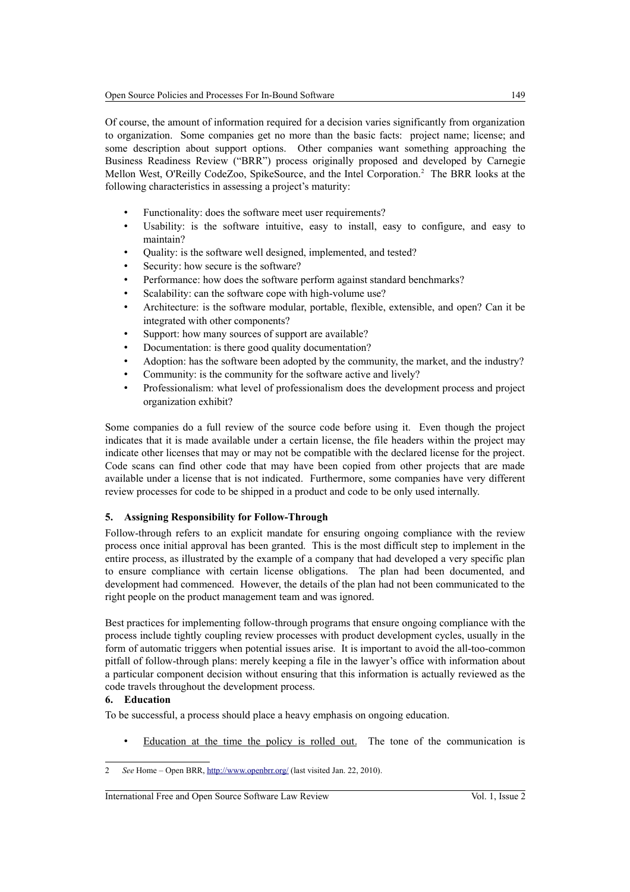Of course, the amount of information required for a decision varies significantly from organization to organization. Some companies get no more than the basic facts: project name; license; and some description about support options. Other companies want something approaching the Business Readiness Review ("BRR") process originally proposed and developed by Carnegie Mellon West, O'Reilly CodeZoo, SpikeSource, and the Intel Corporation.<sup>[2](#page-6-0)</sup> The BRR looks at the following characteristics in assessing a project's maturity:

- Functionality: does the software meet user requirements?
- Usability: is the software intuitive, easy to install, easy to configure, and easy to maintain?
- Quality: is the software well designed, implemented, and tested?
- Security: how secure is the software?
- Performance: how does the software perform against standard benchmarks?
- Scalability: can the software cope with high-volume use?
- Architecture: is the software modular, portable, flexible, extensible, and open? Can it be integrated with other components?
- Support: how many sources of support are available?
- Documentation: is there good quality documentation?
- Adoption: has the software been adopted by the community, the market, and the industry?
- Community: is the community for the software active and lively?
- Professionalism: what level of professionalism does the development process and project organization exhibit?

Some companies do a full review of the source code before using it. Even though the project indicates that it is made available under a certain license, the file headers within the project may indicate other licenses that may or may not be compatible with the declared license for the project. Code scans can find other code that may have been copied from other projects that are made available under a license that is not indicated. Furthermore, some companies have very different review processes for code to be shipped in a product and code to be only used internally.

## **5. Assigning Responsibility for Follow-Through**

Follow-through refers to an explicit mandate for ensuring ongoing compliance with the review process once initial approval has been granted. This is the most difficult step to implement in the entire process, as illustrated by the example of a company that had developed a very specific plan to ensure compliance with certain license obligations. The plan had been documented, and development had commenced. However, the details of the plan had not been communicated to the right people on the product management team and was ignored.

Best practices for implementing follow-through programs that ensure ongoing compliance with the process include tightly coupling review processes with product development cycles, usually in the form of automatic triggers when potential issues arise. It is important to avoid the all-too-common pitfall of follow-through plans: merely keeping a file in the lawyer's office with information about a particular component decision without ensuring that this information is actually reviewed as the code travels throughout the development process.

#### **6. Education**

To be successful, a process should place a heavy emphasis on ongoing education.

• Education at the time the policy is rolled out. The tone of the communication is

<span id="page-6-0"></span><sup>2</sup> *See* Home – Open BRR,<http://www.openbrr.org/>(last visited Jan. 22, 2010).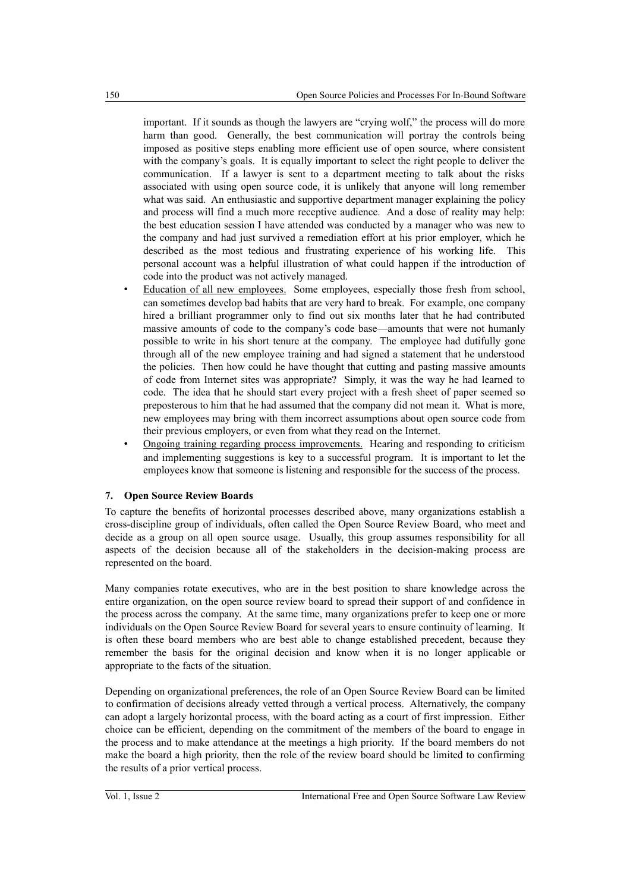important. If it sounds as though the lawyers are "crying wolf," the process will do more harm than good. Generally, the best communication will portray the controls being imposed as positive steps enabling more efficient use of open source, where consistent with the company's goals. It is equally important to select the right people to deliver the communication. If a lawyer is sent to a department meeting to talk about the risks associated with using open source code, it is unlikely that anyone will long remember what was said. An enthusiastic and supportive department manager explaining the policy and process will find a much more receptive audience. And a dose of reality may help: the best education session I have attended was conducted by a manager who was new to the company and had just survived a remediation effort at his prior employer, which he described as the most tedious and frustrating experience of his working life. This personal account was a helpful illustration of what could happen if the introduction of code into the product was not actively managed.

- Education of all new employees. Some employees, especially those fresh from school, can sometimes develop bad habits that are very hard to break. For example, one company hired a brilliant programmer only to find out six months later that he had contributed massive amounts of code to the company's code base—amounts that were not humanly possible to write in his short tenure at the company. The employee had dutifully gone through all of the new employee training and had signed a statement that he understood the policies. Then how could he have thought that cutting and pasting massive amounts of code from Internet sites was appropriate? Simply, it was the way he had learned to code. The idea that he should start every project with a fresh sheet of paper seemed so preposterous to him that he had assumed that the company did not mean it. What is more, new employees may bring with them incorrect assumptions about open source code from their previous employers, or even from what they read on the Internet.
- Ongoing training regarding process improvements. Hearing and responding to criticism and implementing suggestions is key to a successful program. It is important to let the employees know that someone is listening and responsible for the success of the process.

#### **7. Open Source Review Boards**

To capture the benefits of horizontal processes described above, many organizations establish a cross-discipline group of individuals, often called the Open Source Review Board, who meet and decide as a group on all open source usage. Usually, this group assumes responsibility for all aspects of the decision because all of the stakeholders in the decision-making process are represented on the board.

Many companies rotate executives, who are in the best position to share knowledge across the entire organization, on the open source review board to spread their support of and confidence in the process across the company. At the same time, many organizations prefer to keep one or more individuals on the Open Source Review Board for several years to ensure continuity of learning. It is often these board members who are best able to change established precedent, because they remember the basis for the original decision and know when it is no longer applicable or appropriate to the facts of the situation.

Depending on organizational preferences, the role of an Open Source Review Board can be limited to confirmation of decisions already vetted through a vertical process. Alternatively, the company can adopt a largely horizontal process, with the board acting as a court of first impression. Either choice can be efficient, depending on the commitment of the members of the board to engage in the process and to make attendance at the meetings a high priority. If the board members do not make the board a high priority, then the role of the review board should be limited to confirming the results of a prior vertical process.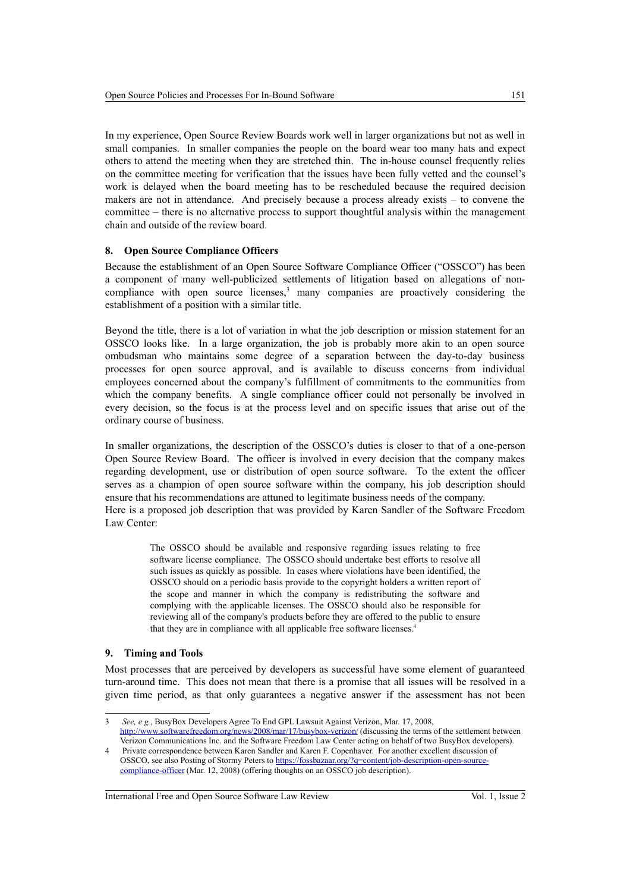In my experience, Open Source Review Boards work well in larger organizations but not as well in small companies. In smaller companies the people on the board wear too many hats and expect others to attend the meeting when they are stretched thin. The in-house counsel frequently relies on the committee meeting for verification that the issues have been fully vetted and the counsel's work is delayed when the board meeting has to be rescheduled because the required decision makers are not in attendance. And precisely because a process already exists – to convene the committee – there is no alternative process to support thoughtful analysis within the management chain and outside of the review board.

#### **8. Open Source Compliance Officers**

Because the establishment of an Open Source Software Compliance Officer ("OSSCO") has been a component of many well-publicized settlements of litigation based on allegations of noncompliance with open source licenses, $3$  many companies are proactively considering the establishment of a position with a similar title.

Beyond the title, there is a lot of variation in what the job description or mission statement for an OSSCO looks like. In a large organization, the job is probably more akin to an open source ombudsman who maintains some degree of a separation between the day-to-day business processes for open source approval, and is available to discuss concerns from individual employees concerned about the company's fulfillment of commitments to the communities from which the company benefits. A single compliance officer could not personally be involved in every decision, so the focus is at the process level and on specific issues that arise out of the ordinary course of business.

In smaller organizations, the description of the OSSCO's duties is closer to that of a one-person Open Source Review Board. The officer is involved in every decision that the company makes regarding development, use or distribution of open source software. To the extent the officer serves as a champion of open source software within the company, his job description should ensure that his recommendations are attuned to legitimate business needs of the company. Here is a proposed job description that was provided by Karen Sandler of the Software Freedom Law Center:

> The OSSCO should be available and responsive regarding issues relating to free software license compliance. The OSSCO should undertake best efforts to resolve all such issues as quickly as possible. In cases where violations have been identified, the OSSCO should on a periodic basis provide to the copyright holders a written report of the scope and manner in which the company is redistributing the software and complying with the applicable licenses. The OSSCO should also be responsible for reviewing all of the company's products before they are offered to the public to ensure that they are in compliance with all applicable free software licenses.<sup>[4](#page-8-1)</sup>

#### **9. Timing and Tools**

Most processes that are perceived by developers as successful have some element of guaranteed turn-around time. This does not mean that there is a promise that all issues will be resolved in a given time period, as that only guarantees a negative answer if the assessment has not been

International Free and Open Source Software Law Review Vol. 1, Issue 2

<span id="page-8-0"></span><sup>3</sup> *See, e.g.*, BusyBox Developers Agree To End GPL Lawsuit Against Verizon, Mar. 17, 2008, <http://www.softwarefreedom.org/news/2008/mar/17/busybox-verizon/>(discussing the terms of the settlement between Verizon Communications Inc. and the Software Freedom Law Center acting on behalf of two BusyBox developers).

<span id="page-8-1"></span><sup>4</sup> Private correspondence between Karen Sandler and Karen F. Copenhaver. For another excellent discussion of OSSCO, see also Posting of Stormy Peters to [https://fossbazaar.org/?q=content/job-description-open-source](https://fossbazaar.org/?q=content/job-description-open-source-compliance-officer)[compliance-officer](https://fossbazaar.org/?q=content/job-description-open-source-compliance-officer) (Mar. 12, 2008) (offering thoughts on an OSSCO job description).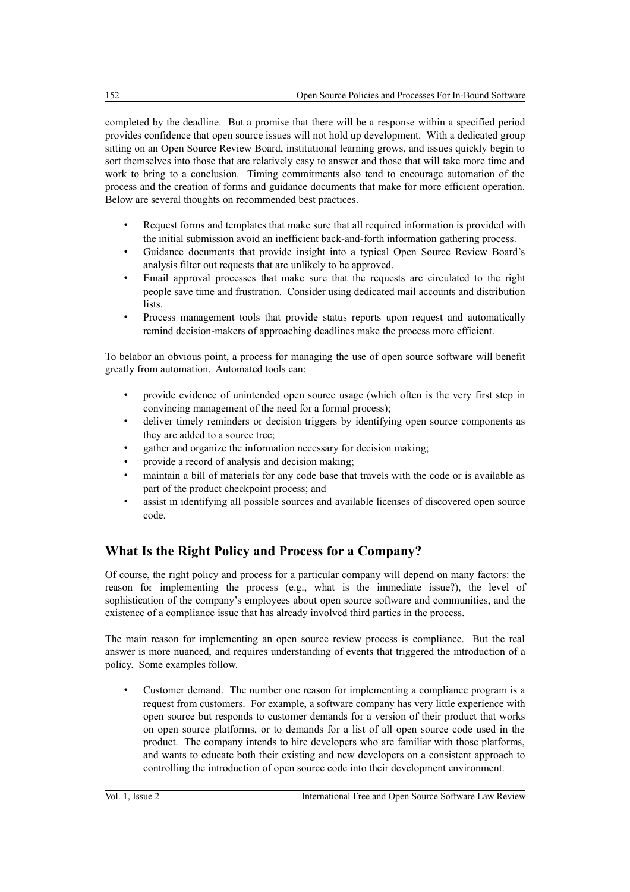completed by the deadline. But a promise that there will be a response within a specified period provides confidence that open source issues will not hold up development. With a dedicated group sitting on an Open Source Review Board, institutional learning grows, and issues quickly begin to sort themselves into those that are relatively easy to answer and those that will take more time and work to bring to a conclusion. Timing commitments also tend to encourage automation of the process and the creation of forms and guidance documents that make for more efficient operation. Below are several thoughts on recommended best practices.

- Request forms and templates that make sure that all required information is provided with the initial submission avoid an inefficient back-and-forth information gathering process.
- Guidance documents that provide insight into a typical Open Source Review Board's analysis filter out requests that are unlikely to be approved.
- Email approval processes that make sure that the requests are circulated to the right people save time and frustration. Consider using dedicated mail accounts and distribution lists.
- Process management tools that provide status reports upon request and automatically remind decision-makers of approaching deadlines make the process more efficient.

To belabor an obvious point, a process for managing the use of open source software will benefit greatly from automation. Automated tools can:

- provide evidence of unintended open source usage (which often is the very first step in convincing management of the need for a formal process);
- deliver timely reminders or decision triggers by identifying open source components as they are added to a source tree;
- gather and organize the information necessary for decision making;
- provide a record of analysis and decision making;
- maintain a bill of materials for any code base that travels with the code or is available as part of the product checkpoint process; and
- assist in identifying all possible sources and available licenses of discovered open source code.

# **What Is the Right Policy and Process for a Company?**

Of course, the right policy and process for a particular company will depend on many factors: the reason for implementing the process (e.g., what is the immediate issue?), the level of sophistication of the company's employees about open source software and communities, and the existence of a compliance issue that has already involved third parties in the process.

The main reason for implementing an open source review process is compliance. But the real answer is more nuanced, and requires understanding of events that triggered the introduction of a policy. Some examples follow.

Customer demand. The number one reason for implementing a compliance program is a request from customers. For example, a software company has very little experience with open source but responds to customer demands for a version of their product that works on open source platforms, or to demands for a list of all open source code used in the product. The company intends to hire developers who are familiar with those platforms, and wants to educate both their existing and new developers on a consistent approach to controlling the introduction of open source code into their development environment.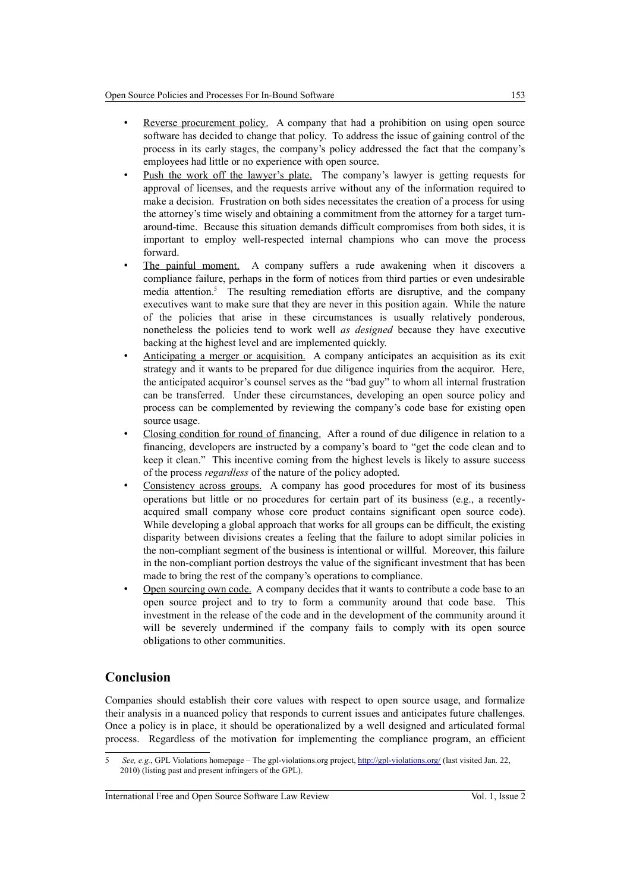- Reverse procurement policy. A company that had a prohibition on using open source software has decided to change that policy. To address the issue of gaining control of the process in its early stages, the company's policy addressed the fact that the company's employees had little or no experience with open source.
- Push the work off the lawyer's plate. The company's lawyer is getting requests for approval of licenses, and the requests arrive without any of the information required to make a decision. Frustration on both sides necessitates the creation of a process for using the attorney's time wisely and obtaining a commitment from the attorney for a target turnaround-time. Because this situation demands difficult compromises from both sides, it is important to employ well-respected internal champions who can move the process forward.
- The painful moment. A company suffers a rude awakening when it discovers a compliance failure, perhaps in the form of notices from third parties or even undesirable media attention.<sup>[5](#page-10-0)</sup> The resulting remediation efforts are disruptive, and the company executives want to make sure that they are never in this position again. While the nature of the policies that arise in these circumstances is usually relatively ponderous, nonetheless the policies tend to work well *as designed* because they have executive backing at the highest level and are implemented quickly.
- Anticipating a merger or acquisition. A company anticipates an acquisition as its exit strategy and it wants to be prepared for due diligence inquiries from the acquiror. Here, the anticipated acquiror's counsel serves as the "bad guy" to whom all internal frustration can be transferred. Under these circumstances, developing an open source policy and process can be complemented by reviewing the company's code base for existing open source usage.
- Closing condition for round of financing. After a round of due diligence in relation to a financing, developers are instructed by a company's board to "get the code clean and to keep it clean." This incentive coming from the highest levels is likely to assure success of the process *regardless* of the nature of the policy adopted.
- Consistency across groups. A company has good procedures for most of its business operations but little or no procedures for certain part of its business (e.g., a recentlyacquired small company whose core product contains significant open source code). While developing a global approach that works for all groups can be difficult, the existing disparity between divisions creates a feeling that the failure to adopt similar policies in the non-compliant segment of the business is intentional or willful. Moreover, this failure in the non-compliant portion destroys the value of the significant investment that has been made to bring the rest of the company's operations to compliance.
- Open sourcing own code. A company decides that it wants to contribute a code base to an open source project and to try to form a community around that code base. This investment in the release of the code and in the development of the community around it will be severely undermined if the company fails to comply with its open source obligations to other communities.

# **Conclusion**

Companies should establish their core values with respect to open source usage, and formalize their analysis in a nuanced policy that responds to current issues and anticipates future challenges. Once a policy is in place, it should be operationalized by a well designed and articulated formal process. Regardless of the motivation for implementing the compliance program, an efficient

International Free and Open Source Software Law Review Vol. 1, Issue 2

<span id="page-10-0"></span><sup>5</sup> *See, e.g.*, GPL Violations homepage – The gpl-violations.org project,<http://gpl-violations.org/>(last visited Jan. 22, 2010) (listing past and present infringers of the GPL).